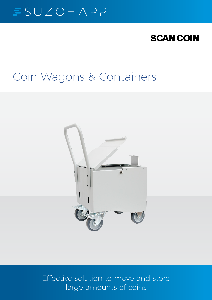# $SUEOHAP$

## **SCAN COIN**

## Coin Wagons & Containers



Effective solution to move and store large amounts of coins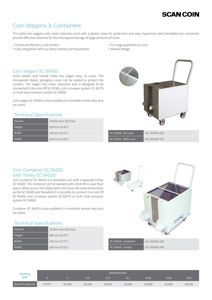## **SCAN COIN**

## Coin Wagons & Containers

The solid coin wagons with noise reduction (and with a plastic cover for protection and easy inspection) and stackable coin containers provide effective solutions for the moving and storage of large amounts of coins.

- **•** Enhanced efficiency and comfort
- **•** Easy integration with our other central cash equipment
- **•** For large quantities of coins
- **•** Robust design

#### Coin Wagon SC-93400

Solid wheels and handle make the wagon easy to move. The transparent plastic plexiglass cover can be sealed to protect the content. The wagon has noise reduction and is designed to be connected to the coin lift SC-93365, coin conveyor system SC-93770 or multi lane conveyor system SC-95800.

Coin wagon SC-93400 is also available in a lockable version (key lock on cover).

#### Technical Specifications

| Volume | 18,000 coins (30 litres) |
|--------|--------------------------|
| Height | 600 mm (23.62")          |
| Width  | 450 mm (17.72")          |
| Depth  | 600 mm (23.62")          |



| SC-93400 - No Lock          | 011-003400-000 |
|-----------------------------|----------------|
| $\mid$ SC-93400 - With Lock | 011-003400-001 |

#### Coin Container SC-94220 with Trolley SC-94200

Coin container SC-94220 is a stackable unit with a separate trolley SC-94200. The container can be stacked with a fork lift to save floor space. When put on the trolley both units have the same dimensions as the SC-93400 and therefore it is possible to connect it to coin lift SC-93365, coin conveyor system SC-93770 or multi lane conveyor system SC-95800.

Container SC-94220 is also available in a lockable version (key lock on cover).

#### Technical Specifications

| Volume | 18,000 coins (30 litres) |
|--------|--------------------------|
| Height | 600 mm (23.62")          |
| Width  | 450 mm (17.72")          |
| Depth  | 600 mm (23.62")          |



| Currency          | Denomination |        |        |        |        |        |        |        |
|-------------------|--------------|--------|--------|--------|--------|--------|--------|--------|
| EUR               |              |        | 0.5    | 0.2    | 0.1    | 0.05   | 0.02   | 0.01   |
| Quantity (pieces) | 20,000       | 20,000 | 20,000 | 30,000 | 30,000 | 30,000 | 40.000 | 40,000 |